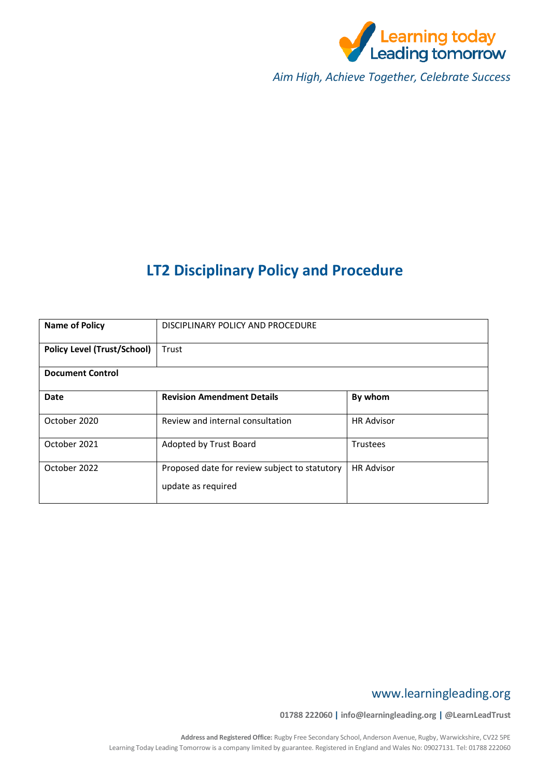

*Aim High, Achieve Together, Celebrate Success*

# **LT2 Disciplinary Policy and Procedure**

| <b>Name of Policy</b>              | DISCIPLINARY POLICY AND PROCEDURE                                   |                   |  |  |
|------------------------------------|---------------------------------------------------------------------|-------------------|--|--|
| <b>Policy Level (Trust/School)</b> | Trust                                                               |                   |  |  |
| <b>Document Control</b>            |                                                                     |                   |  |  |
| <b>Date</b>                        | <b>Revision Amendment Details</b>                                   | By whom           |  |  |
| October 2020                       | Review and internal consultation                                    | <b>HR Advisor</b> |  |  |
| October 2021                       | Adopted by Trust Board                                              | Trustees          |  |  |
| October 2022                       | Proposed date for review subject to statutory<br>update as required | <b>HR Advisor</b> |  |  |

# www.learningleading.org

**01788 222060 | info@learningleading.org | @LearnLeadTrust**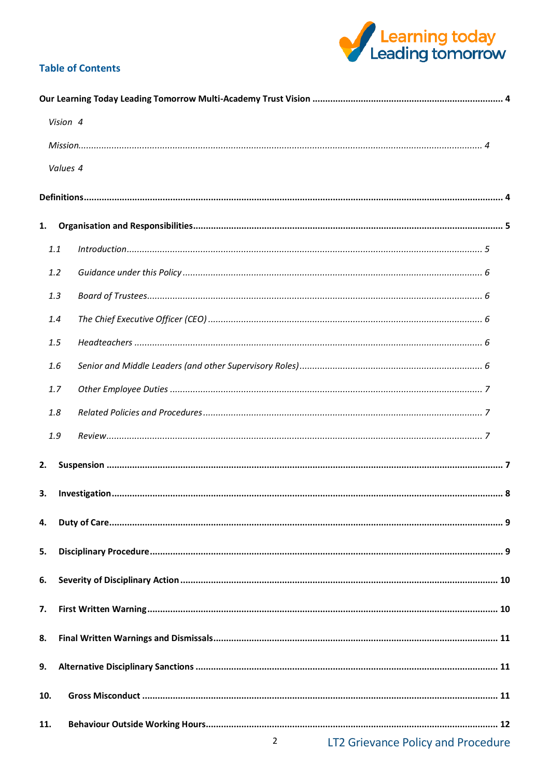

# **Table of Contents**

|     | Vision 4 |                                         |  |  |  |
|-----|----------|-----------------------------------------|--|--|--|
|     |          |                                         |  |  |  |
|     | Values 4 |                                         |  |  |  |
|     |          |                                         |  |  |  |
|     |          |                                         |  |  |  |
| 1.  |          |                                         |  |  |  |
|     | 1.1      |                                         |  |  |  |
|     | 1.2      |                                         |  |  |  |
|     | 1.3      |                                         |  |  |  |
|     | 1.4      |                                         |  |  |  |
|     | 1.5      |                                         |  |  |  |
|     | 1.6      |                                         |  |  |  |
|     | 1.7      |                                         |  |  |  |
|     | 1.8      |                                         |  |  |  |
|     | 1.9      |                                         |  |  |  |
| 2.  |          |                                         |  |  |  |
|     |          |                                         |  |  |  |
|     | 3.       |                                         |  |  |  |
| 4.  |          |                                         |  |  |  |
| 5.  |          |                                         |  |  |  |
| 6.  |          |                                         |  |  |  |
|     |          |                                         |  |  |  |
| 7.  |          |                                         |  |  |  |
| 8.  |          |                                         |  |  |  |
| 9.  |          |                                         |  |  |  |
|     |          |                                         |  |  |  |
|     | 10.      |                                         |  |  |  |
| 11. |          |                                         |  |  |  |
|     |          | 2<br>LT2 Grievance Policy and Procedure |  |  |  |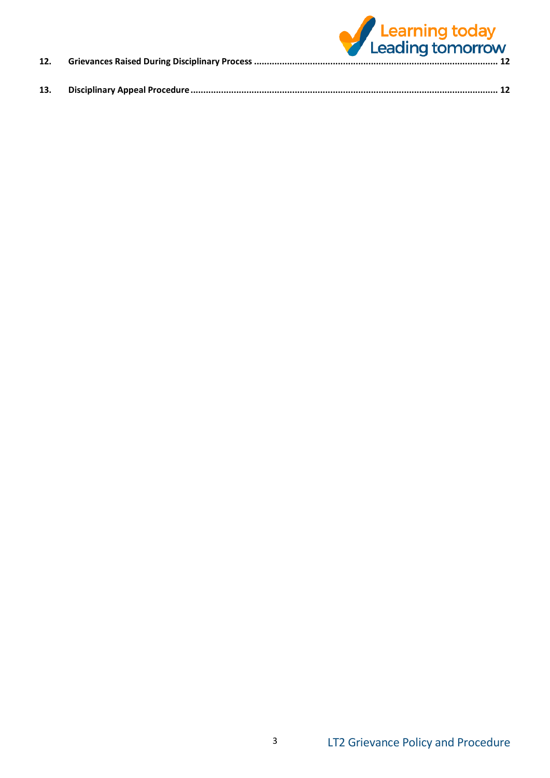| 12. | Learning today<br>Leading tomorrow |
|-----|------------------------------------|
| 13. |                                    |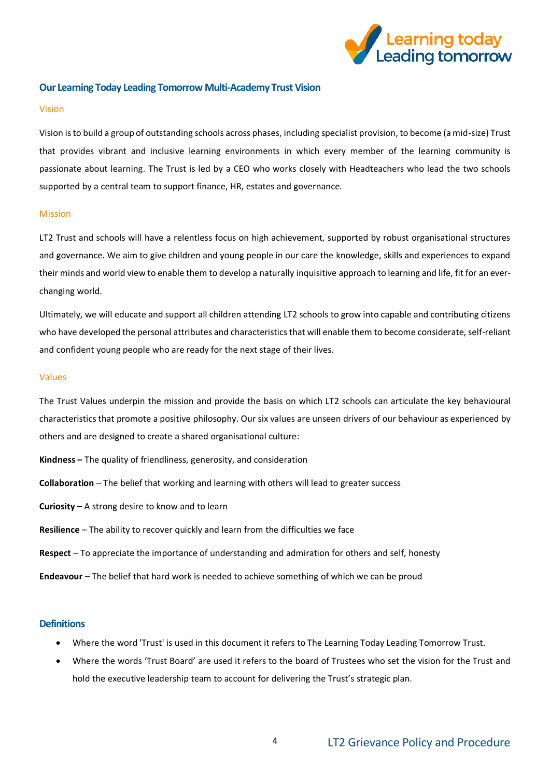

#### <span id="page-3-0"></span>**Our Learning Today Leading Tomorrow Multi-Academy Trust Vision**

#### <span id="page-3-1"></span>Vision

Vision is to build a group of outstanding schools across phases, including specialist provision, to become (a mid-size) Trust that provides vibrant and inclusive learning environments in which every member of the learning community is passionate about learning. The Trust is led by a CEO who works closely with Headteachers who lead the two schools supported by a central team to support finance, HR, estates and governance.

#### <span id="page-3-2"></span>Mission

LT2 Trust and schools will have a relentless focus on high achievement, supported by robust organisational structures and governance. We aim to give children and young people in our care the knowledge, skills and experiences to expand their minds and world view to enable them to develop a naturally inquisitive approach to learning and life, fit for an everchanging world.

Ultimately, we will educate and support all children attending LT2 schools to grow into capable and contributing citizens who have developed the personal attributes and characteristics that will enable them to become considerate, self-reliant and confident young people who are ready for the next stage of their lives.

#### <span id="page-3-3"></span>Values

The Trust Values underpin the mission and provide the basis on which LT2 schools can articulate the key behavioural characteristics that promote a positive philosophy. Our six values are unseen drivers of our behaviour as experienced by others and are designed to create a shared organisational culture:

- **Kindness –** The quality of friendliness, generosity, and consideration
- **Collaboration** The belief that working and learning with others will lead to greater success
- **Curiosity –** A strong desire to know and to learn
- **Resilience** The ability to recover quickly and learn from the difficulties we face
- **Respect** To appreciate the importance of understanding and admiration for others and self, honesty
- **Endeavour** The belief that hard work is needed to achieve something of which we can be proud

#### <span id="page-3-4"></span>**Definitions**

- Where the word 'Trust' is used in this document it refers to The Learning Today Leading Tomorrow Trust.
- Where the words 'Trust Board' are used it refers to the board of Trustees who set the vision for the Trust and hold the executive leadership team to account for delivering the Trust's strategic plan.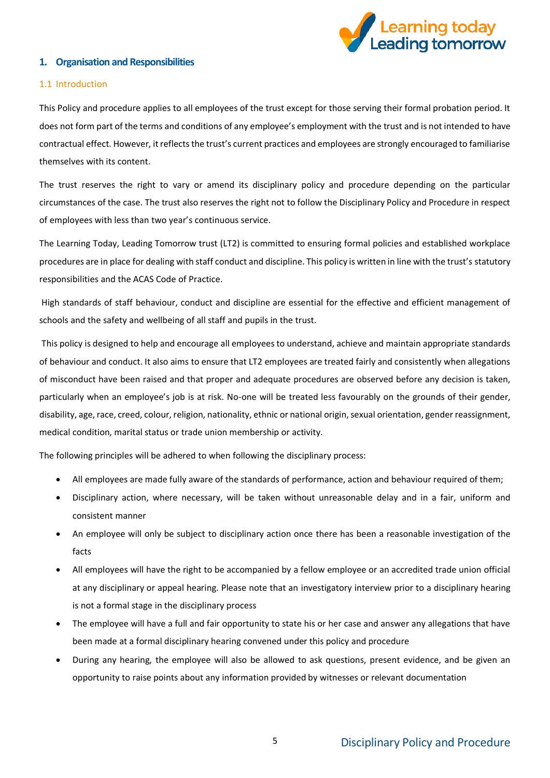

#### <span id="page-4-0"></span>**1. Organisation and Responsibilities**

#### <span id="page-4-1"></span>1.1 Introduction

This Policy and procedure applies to all employees of the trust except for those serving their formal probation period. It does not form part of the terms and conditions of any employee's employment with the trust and is not intended to have contractual effect. However, it reflects the trust's current practices and employees are strongly encouraged to familiarise themselves with its content.

The trust reserves the right to vary or amend its disciplinary policy and procedure depending on the particular circumstances of the case. The trust also reserves the right not to follow the Disciplinary Policy and Procedure in respect of employees with less than two year's continuous service.

The Learning Today, Leading Tomorrow trust (LT2) is committed to ensuring formal policies and established workplace procedures are in place for dealing with staff conduct and discipline. This policy is written in line with the trust's statutory responsibilities and the ACAS Code of Practice.

High standards of staff behaviour, conduct and discipline are essential for the effective and efficient management of schools and the safety and wellbeing of all staff and pupils in the trust.

This policy is designed to help and encourage all employees to understand, achieve and maintain appropriate standards of behaviour and conduct. It also aims to ensure that LT2 employees are treated fairly and consistently when allegations of misconduct have been raised and that proper and adequate procedures are observed before any decision is taken, particularly when an employee's job is at risk. No-one will be treated less favourably on the grounds of their gender, disability, age, race, creed, colour, religion, nationality, ethnic or national origin, sexual orientation, gender reassignment, medical condition, marital status or trade union membership or activity.

The following principles will be adhered to when following the disciplinary process:

- All employees are made fully aware of the standards of performance, action and behaviour required of them;
- Disciplinary action, where necessary, will be taken without unreasonable delay and in a fair, uniform and consistent manner
- An employee will only be subject to disciplinary action once there has been a reasonable investigation of the facts
- All employees will have the right to be accompanied by a fellow employee or an accredited trade union official at any disciplinary or appeal hearing. Please note that an investigatory interview prior to a disciplinary hearing is not a formal stage in the disciplinary process
- The employee will have a full and fair opportunity to state his or her case and answer any allegations that have been made at a formal disciplinary hearing convened under this policy and procedure
- During any hearing, the employee will also be allowed to ask questions, present evidence, and be given an opportunity to raise points about any information provided by witnesses or relevant documentation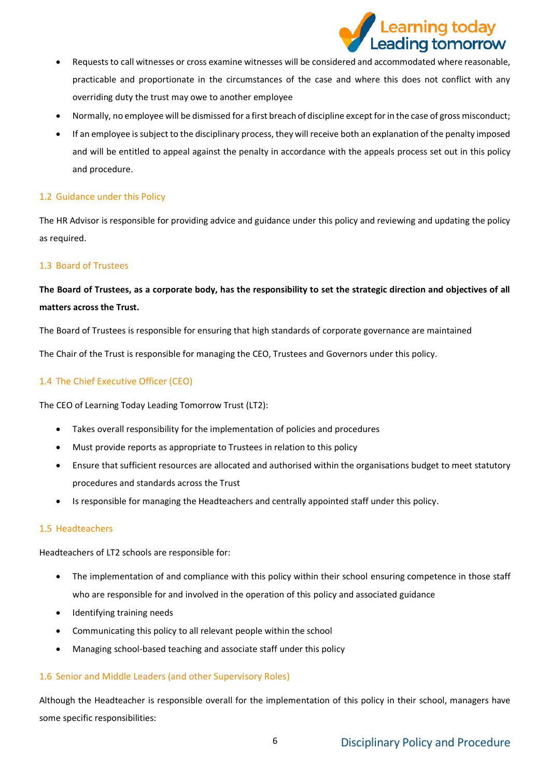

- Requests to call witnesses or cross examine witnesses will be considered and accommodated where reasonable, practicable and proportionate in the circumstances of the case and where this does not conflict with any overriding duty the trust may owe to another employee
- Normally, no employee will be dismissed for a first breach of discipline except for in the case of gross misconduct;
- If an employee is subject to the disciplinary process, they will receive both an explanation of the penalty imposed and will be entitled to appeal against the penalty in accordance with the appeals process set out in this policy and procedure.

# <span id="page-5-0"></span>1.2 Guidance under this Policy

The HR Advisor is responsible for providing advice and guidance under this policy and reviewing and updating the policy as required.

## <span id="page-5-1"></span>1.3 Board of Trustees

# **The Board of Trustees, as a corporate body, has the responsibility to set the strategic direction and objectives of all matters across the Trust.**

The Board of Trustees is responsible for ensuring that high standards of corporate governance are maintained

The Chair of the Trust is responsible for managing the CEO, Trustees and Governors under this policy.

# <span id="page-5-2"></span>1.4 The Chief Executive Officer (CEO)

The CEO of Learning Today Leading Tomorrow Trust (LT2):

- Takes overall responsibility for the implementation of policies and procedures
- Must provide reports as appropriate to Trustees in relation to this policy
- Ensure that sufficient resources are allocated and authorised within the organisations budget to meet statutory procedures and standards across the Trust
- Is responsible for managing the Headteachers and centrally appointed staff under this policy.

#### <span id="page-5-3"></span>1.5 Headteachers

Headteachers of LT2 schools are responsible for:

- The implementation of and compliance with this policy within their school ensuring competence in those staff who are responsible for and involved in the operation of this policy and associated guidance
- Identifying training needs
- Communicating this policy to all relevant people within the school
- Managing school-based teaching and associate staff under this policy

## <span id="page-5-4"></span>1.6 Senior and Middle Leaders (and other Supervisory Roles)

Although the Headteacher is responsible overall for the implementation of this policy in their school, managers have some specific responsibilities: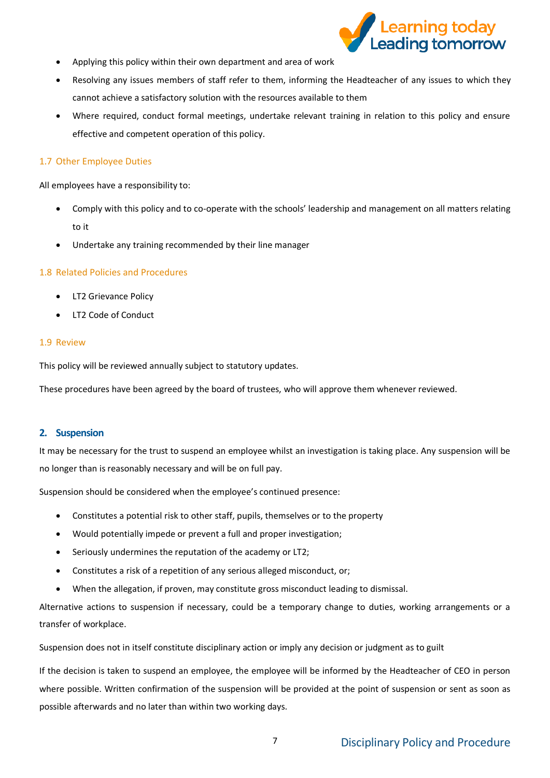

- Applying this policy within their own department and area of work
- Resolving any issues members of staff refer to them, informing the Headteacher of any issues to which they cannot achieve a satisfactory solution with the resources available to them
- Where required, conduct formal meetings, undertake relevant training in relation to this policy and ensure effective and competent operation of this policy.

#### <span id="page-6-0"></span>1.7 Other Employee Duties

All employees have a responsibility to:

- Comply with this policy and to co-operate with the schools' leadership and management on all matters relating to it
- Undertake any training recommended by their line manager

#### <span id="page-6-1"></span>1.8 Related Policies and Procedures

- LT2 Grievance Policy
- LT2 Code of Conduct

#### <span id="page-6-2"></span>1.9 Review

This policy will be reviewed annually subject to statutory updates.

These procedures have been agreed by the board of trustees, who will approve them whenever reviewed.

#### <span id="page-6-3"></span>**2. Suspension**

It may be necessary for the trust to suspend an employee whilst an investigation is taking place. Any suspension will be no longer than is reasonably necessary and will be on full pay.

Suspension should be considered when the employee's continued presence:

- Constitutes a potential risk to other staff, pupils, themselves or to the property
- Would potentially impede or prevent a full and proper investigation;
- Seriously undermines the reputation of the academy or LT2;
- Constitutes a risk of a repetition of any serious alleged misconduct, or;
- When the allegation, if proven, may constitute gross misconduct leading to dismissal.

Alternative actions to suspension if necessary, could be a temporary change to duties, working arrangements or a transfer of workplace.

Suspension does not in itself constitute disciplinary action or imply any decision or judgment as to guilt

If the decision is taken to suspend an employee, the employee will be informed by the Headteacher of CEO in person where possible. Written confirmation of the suspension will be provided at the point of suspension or sent as soon as possible afterwards and no later than within two working days.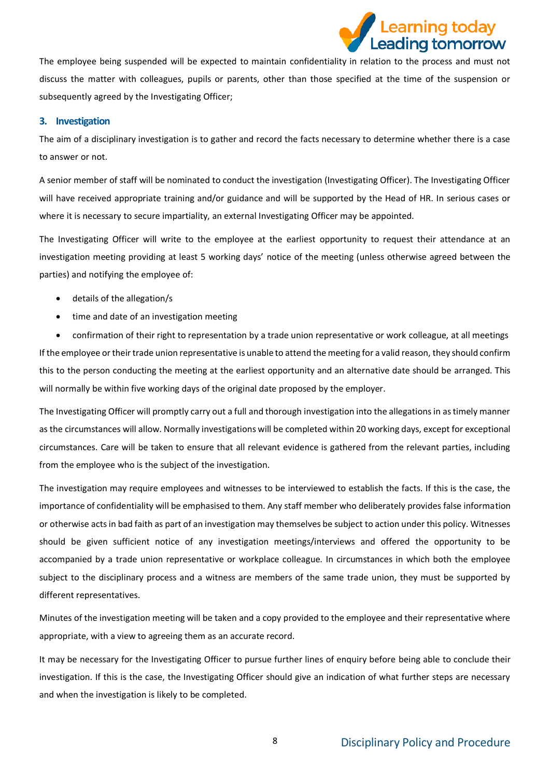

The employee being suspended will be expected to maintain confidentiality in relation to the process and must not discuss the matter with colleagues, pupils or parents, other than those specified at the time of the suspension or subsequently agreed by the Investigating Officer;

#### <span id="page-7-0"></span>**3. Investigation**

The aim of a disciplinary investigation is to gather and record the facts necessary to determine whether there is a case to answer or not.

A senior member of staff will be nominated to conduct the investigation (Investigating Officer). The Investigating Officer will have received appropriate training and/or guidance and will be supported by the Head of HR. In serious cases or where it is necessary to secure impartiality, an external Investigating Officer may be appointed.

The Investigating Officer will write to the employee at the earliest opportunity to request their attendance at an investigation meeting providing at least 5 working days' notice of the meeting (unless otherwise agreed between the parties) and notifying the employee of:

- details of the allegation/s
- time and date of an investigation meeting

• confirmation of their right to representation by a trade union representative or work colleague, at all meetings If the employee or their trade union representative is unable to attend the meeting for a valid reason, they should confirm this to the person conducting the meeting at the earliest opportunity and an alternative date should be arranged. This will normally be within five working days of the original date proposed by the employer.

The Investigating Officer will promptly carry out a full and thorough investigation into the allegations in as timely manner as the circumstances will allow. Normally investigations will be completed within 20 working days, except for exceptional circumstances. Care will be taken to ensure that all relevant evidence is gathered from the relevant parties, including from the employee who is the subject of the investigation.

The investigation may require employees and witnesses to be interviewed to establish the facts. If this is the case, the importance of confidentiality will be emphasised to them. Any staff member who deliberately provides false information or otherwise acts in bad faith as part of an investigation may themselves be subject to action under this policy. Witnesses should be given sufficient notice of any investigation meetings/interviews and offered the opportunity to be accompanied by a trade union representative or workplace colleague. In circumstances in which both the employee subject to the disciplinary process and a witness are members of the same trade union, they must be supported by different representatives.

Minutes of the investigation meeting will be taken and a copy provided to the employee and their representative where appropriate, with a view to agreeing them as an accurate record.

It may be necessary for the Investigating Officer to pursue further lines of enquiry before being able to conclude their investigation. If this is the case, the Investigating Officer should give an indication of what further steps are necessary and when the investigation is likely to be completed.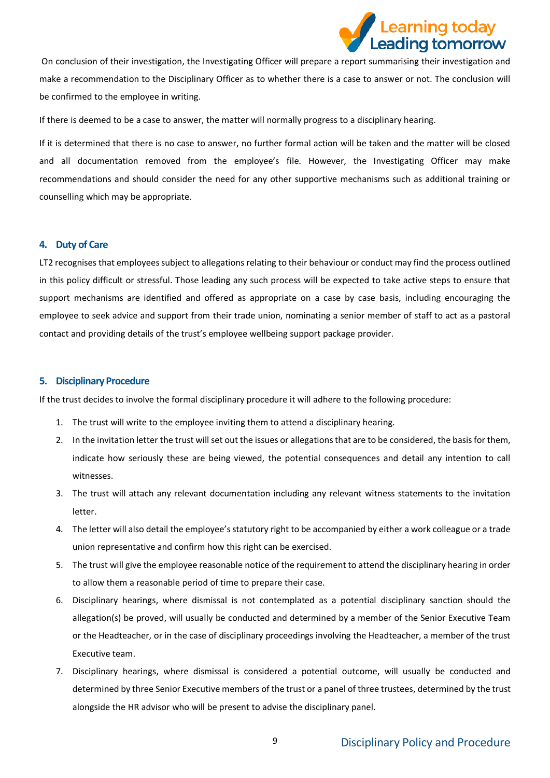

On conclusion of their investigation, the Investigating Officer will prepare a report summarising their investigation and make a recommendation to the Disciplinary Officer as to whether there is a case to answer or not. The conclusion will be confirmed to the employee in writing.

If there is deemed to be a case to answer, the matter will normally progress to a disciplinary hearing.

If it is determined that there is no case to answer, no further formal action will be taken and the matter will be closed and all documentation removed from the employee's file. However, the Investigating Officer may make recommendations and should consider the need for any other supportive mechanisms such as additional training or counselling which may be appropriate.

#### <span id="page-8-0"></span>**4. Duty of Care**

LT2 recognises that employees subject to allegations relating to their behaviour or conduct may find the process outlined in this policy difficult or stressful. Those leading any such process will be expected to take active steps to ensure that support mechanisms are identified and offered as appropriate on a case by case basis, including encouraging the employee to seek advice and support from their trade union, nominating a senior member of staff to act as a pastoral contact and providing details of the trust's employee wellbeing support package provider.

#### <span id="page-8-1"></span>**5. Disciplinary Procedure**

If the trust decides to involve the formal disciplinary procedure it will adhere to the following procedure:

- 1. The trust will write to the employee inviting them to attend a disciplinary hearing.
- 2. In the invitation letter the trust will set out the issues or allegations that are to be considered, the basis for them, indicate how seriously these are being viewed, the potential consequences and detail any intention to call witnesses.
- 3. The trust will attach any relevant documentation including any relevant witness statements to the invitation letter.
- 4. The letter will also detail the employee's statutory right to be accompanied by either a work colleague or a trade union representative and confirm how this right can be exercised.
- 5. The trust will give the employee reasonable notice of the requirement to attend the disciplinary hearing in order to allow them a reasonable period of time to prepare their case.
- 6. Disciplinary hearings, where dismissal is not contemplated as a potential disciplinary sanction should the allegation(s) be proved, will usually be conducted and determined by a member of the Senior Executive Team or the Headteacher, or in the case of disciplinary proceedings involving the Headteacher, a member of the trust Executive team.
- 7. Disciplinary hearings, where dismissal is considered a potential outcome, will usually be conducted and determined by three Senior Executive members of the trust or a panel of three trustees, determined by the trust alongside the HR advisor who will be present to advise the disciplinary panel.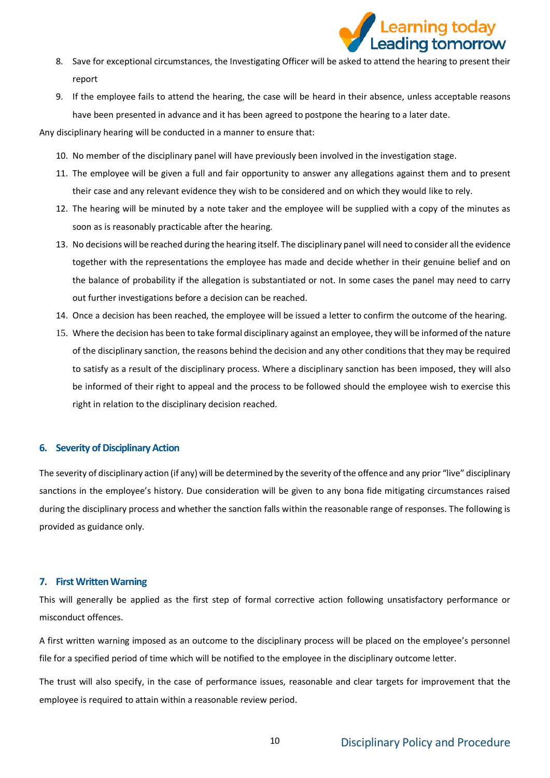

- 8. Save for exceptional circumstances, the Investigating Officer will be asked to attend the hearing to present their report
- 9. If the employee fails to attend the hearing, the case will be heard in their absence, unless acceptable reasons have been presented in advance and it has been agreed to postpone the hearing to a later date.

Any disciplinary hearing will be conducted in a manner to ensure that:

- 10. No member of the disciplinary panel will have previously been involved in the investigation stage.
- 11. The employee will be given a full and fair opportunity to answer any allegations against them and to present their case and any relevant evidence they wish to be considered and on which they would like to rely.
- 12. The hearing will be minuted by a note taker and the employee will be supplied with a copy of the minutes as soon as is reasonably practicable after the hearing.
- 13. No decisions will be reached during the hearing itself. The disciplinary panel will need to consider all the evidence together with the representations the employee has made and decide whether in their genuine belief and on the balance of probability if the allegation is substantiated or not. In some cases the panel may need to carry out further investigations before a decision can be reached.
- 14. Once a decision has been reached, the employee will be issued a letter to confirm the outcome of the hearing.
- 15. Where the decision has been to take formal disciplinary against an employee, they will be informed of the nature of the disciplinary sanction, the reasons behind the decision and any other conditions that they may be required to satisfy as a result of the disciplinary process. Where a disciplinary sanction has been imposed, they will also be informed of their right to appeal and the process to be followed should the employee wish to exercise this right in relation to the disciplinary decision reached.

#### <span id="page-9-0"></span>**6. Severity of Disciplinary Action**

The severity of disciplinary action (if any) will be determined by the severity of the offence and any prior "live" disciplinary sanctions in the employee's history. Due consideration will be given to any bona fide mitigating circumstances raised during the disciplinary process and whether the sanction falls within the reasonable range of responses. The following is provided as guidance only.

### <span id="page-9-1"></span>**7. First Written Warning**

This will generally be applied as the first step of formal corrective action following unsatisfactory performance or misconduct offences.

A first written warning imposed as an outcome to the disciplinary process will be placed on the employee's personnel file for a specified period of time which will be notified to the employee in the disciplinary outcome letter.

The trust will also specify, in the case of performance issues, reasonable and clear targets for improvement that the employee is required to attain within a reasonable review period.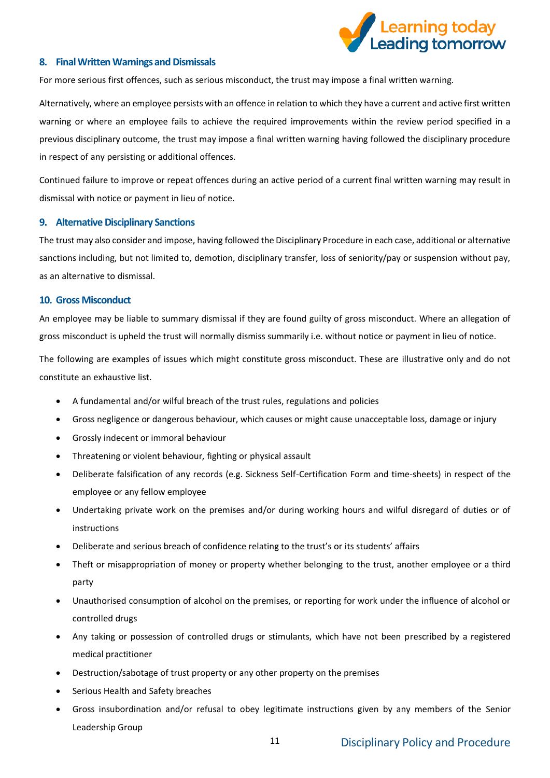

#### <span id="page-10-0"></span>**8. Final Written Warnings and Dismissals**

For more serious first offences, such as serious misconduct, the trust may impose a final written warning.

Alternatively, where an employee persists with an offence in relation to which they have a current and active first written warning or where an employee fails to achieve the required improvements within the review period specified in a previous disciplinary outcome, the trust may impose a final written warning having followed the disciplinary procedure in respect of any persisting or additional offences.

Continued failure to improve or repeat offences during an active period of a current final written warning may result in dismissal with notice or payment in lieu of notice.

#### <span id="page-10-1"></span>**9. Alternative Disciplinary Sanctions**

The trust may also consider and impose, having followed the Disciplinary Procedure in each case, additional or alternative sanctions including, but not limited to, demotion, disciplinary transfer, loss of seniority/pay or suspension without pay, as an alternative to dismissal.

#### <span id="page-10-2"></span>**10. Gross Misconduct**

An employee may be liable to summary dismissal if they are found guilty of gross misconduct. Where an allegation of gross misconduct is upheld the trust will normally dismiss summarily i.e. without notice or payment in lieu of notice.

The following are examples of issues which might constitute gross misconduct. These are illustrative only and do not constitute an exhaustive list.

- A fundamental and/or wilful breach of the trust rules, regulations and policies
- Gross negligence or dangerous behaviour, which causes or might cause unacceptable loss, damage or injury
- Grossly indecent or immoral behaviour
- Threatening or violent behaviour, fighting or physical assault
- Deliberate falsification of any records (e.g. Sickness Self-Certification Form and time-sheets) in respect of the employee or any fellow employee
- Undertaking private work on the premises and/or during working hours and wilful disregard of duties or of instructions
- Deliberate and serious breach of confidence relating to the trust's or its students' affairs
- Theft or misappropriation of money or property whether belonging to the trust, another employee or a third party
- Unauthorised consumption of alcohol on the premises, or reporting for work under the influence of alcohol or controlled drugs
- Any taking or possession of controlled drugs or stimulants, which have not been prescribed by a registered medical practitioner
- Destruction/sabotage of trust property or any other property on the premises
- Serious Health and Safety breaches
- Gross insubordination and/or refusal to obey legitimate instructions given by any members of the Senior Leadership Group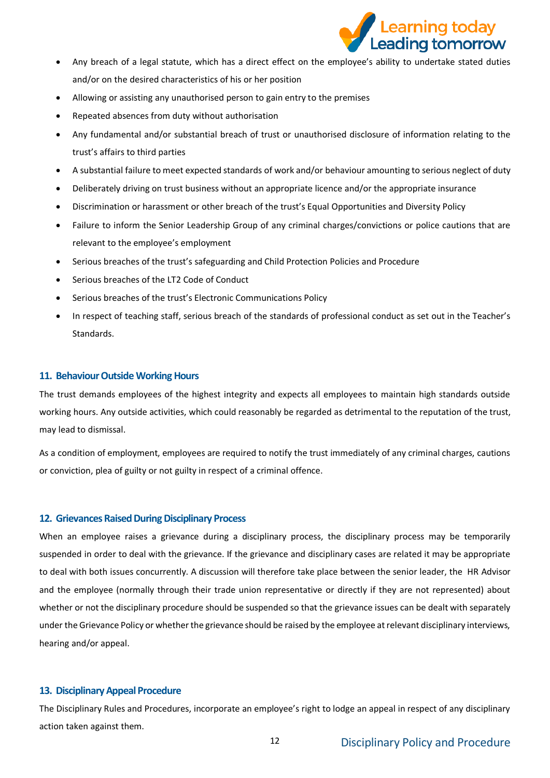

- Any breach of a legal statute, which has a direct effect on the employee's ability to undertake stated duties and/or on the desired characteristics of his or her position
- Allowing or assisting any unauthorised person to gain entry to the premises
- Repeated absences from duty without authorisation
- Any fundamental and/or substantial breach of trust or unauthorised disclosure of information relating to the trust's affairs to third parties
- A substantial failure to meet expected standards of work and/or behaviour amounting to serious neglect of duty
- Deliberately driving on trust business without an appropriate licence and/or the appropriate insurance
- Discrimination or harassment or other breach of the trust's Equal Opportunities and Diversity Policy
- Failure to inform the Senior Leadership Group of any criminal charges/convictions or police cautions that are relevant to the employee's employment
- Serious breaches of the trust's safeguarding and Child Protection Policies and Procedure
- Serious breaches of the LT2 Code of Conduct
- Serious breaches of the trust's Electronic Communications Policy
- In respect of teaching staff, serious breach of the standards of professional conduct as set out in the Teacher's Standards.

#### <span id="page-11-0"></span>**11. Behaviour Outside Working Hours**

The trust demands employees of the highest integrity and expects all employees to maintain high standards outside working hours. Any outside activities, which could reasonably be regarded as detrimental to the reputation of the trust, may lead to dismissal.

As a condition of employment, employees are required to notify the trust immediately of any criminal charges, cautions or conviction, plea of guilty or not guilty in respect of a criminal offence.

#### <span id="page-11-1"></span>**12. Grievances Raised During Disciplinary Process**

When an employee raises a grievance during a disciplinary process, the disciplinary process may be temporarily suspended in order to deal with the grievance. If the grievance and disciplinary cases are related it may be appropriate to deal with both issues concurrently. A discussion will therefore take place between the senior leader, the HR Advisor and the employee (normally through their trade union representative or directly if they are not represented) about whether or not the disciplinary procedure should be suspended so that the grievance issues can be dealt with separately under the Grievance Policy or whether the grievance should be raised by the employee at relevant disciplinary interviews, hearing and/or appeal.

## <span id="page-11-2"></span>**13. Disciplinary Appeal Procedure**

The Disciplinary Rules and Procedures, incorporate an employee's right to lodge an appeal in respect of any disciplinary action taken against them.